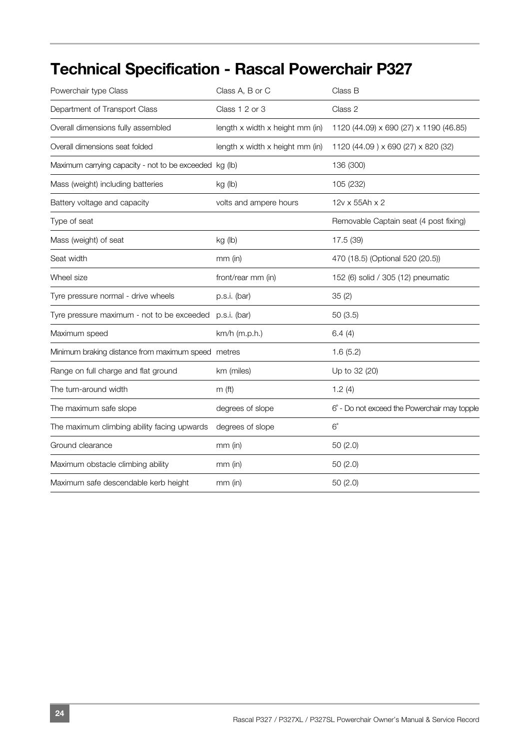## **Technical Specification - Rascal Powerchair P327**

| Powerchair type Class                                   | Class A, B or C                     | Class B                                      |
|---------------------------------------------------------|-------------------------------------|----------------------------------------------|
| Department of Transport Class                           | Class 1 2 or 3                      | Class 2                                      |
| Overall dimensions fully assembled                      | length $x$ width $x$ height mm (in) | 1120 (44.09) x 690 (27) x 1190 (46.85)       |
| Overall dimensions seat folded                          | length x width x height mm (in)     | 1120 (44.09) x 690 (27) x 820 (32)           |
| Maximum carrying capacity - not to be exceeded kg (lb)  |                                     | 136 (300)                                    |
| Mass (weight) including batteries                       | kg (lb)                             | 105 (232)                                    |
| Battery voltage and capacity                            | volts and ampere hours              | 12v x 55Ah x 2                               |
| Type of seat                                            |                                     | Removable Captain seat (4 post fixing)       |
| Mass (weight) of seat                                   | kg (lb)                             | 17.5 (39)                                    |
| Seat width                                              | $mm$ (in)                           | 470 (18.5) (Optional 520 (20.5))             |
| Wheel size                                              | front/rear mm (in)                  | 152 (6) solid / 305 (12) pneumatic           |
| Tyre pressure normal - drive wheels                     | p.s.i. (bar)                        | 35(2)                                        |
| Tyre pressure maximum - not to be exceeded p.s.i. (bar) |                                     | 50(3.5)                                      |
| Maximum speed                                           | km/h (m.p.h.)                       | 6.4(4)                                       |
| Minimum braking distance from maximum speed metres      |                                     | 1.6(5.2)                                     |
| Range on full charge and flat ground                    | km (miles)                          | Up to 32 (20)                                |
| The turn-around width                                   | m <sub>(ft)</sub>                   | 1.2(4)                                       |
| The maximum safe slope                                  | degrees of slope                    | 6° - Do not exceed the Powerchair may topple |
| The maximum climbing ability facing upwards             | degrees of slope                    | $6^{\circ}$                                  |
| Ground clearance                                        | $mm$ (in)                           | 50(2.0)                                      |
| Maximum obstacle climbing ability                       | $mm$ (in)                           | 50(2.0)                                      |
| Maximum safe descendable kerb height                    | $mm$ (in)                           | 50(2.0)                                      |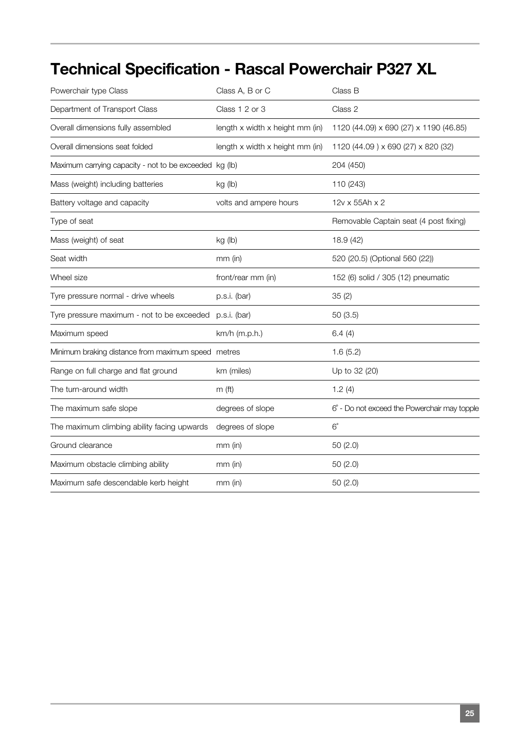## **Technical Specification - Rascal Powerchair P327 XL**

| Powerchair type Class                                  | Class A, B or C                 | Class B                                      |
|--------------------------------------------------------|---------------------------------|----------------------------------------------|
| Department of Transport Class                          | Class 1 2 or 3                  | Class 2                                      |
| Overall dimensions fully assembled                     | length x width x height mm (in) | 1120 (44.09) x 690 (27) x 1190 (46.85)       |
| Overall dimensions seat folded                         | length x width x height mm (in) | 1120 (44.09) x 690 (27) x 820 (32)           |
| Maximum carrying capacity - not to be exceeded kg (lb) |                                 | 204 (450)                                    |
| Mass (weight) including batteries                      | kg (lb)                         | 110 (243)                                    |
| Battery voltage and capacity                           | volts and ampere hours          | 12v x 55Ah x 2                               |
| Type of seat                                           |                                 | Removable Captain seat (4 post fixing)       |
| Mass (weight) of seat                                  | kg (lb)                         | 18.9 (42)                                    |
| Seat width                                             | $mm$ (in)                       | 520 (20.5) (Optional 560 (22))               |
| Wheel size                                             | front/rear mm (in)              | 152 (6) solid / 305 (12) pneumatic           |
| Tyre pressure normal - drive wheels                    | p.s.i. (bar)                    | 35(2)                                        |
| Tyre pressure maximum - not to be exceeded             | p.s.i. (bar)                    | 50(3.5)                                      |
| Maximum speed                                          | km/h (m.p.h.)                   | 6.4(4)                                       |
| Minimum braking distance from maximum speed metres     |                                 | 1.6(5.2)                                     |
| Range on full charge and flat ground                   | km (miles)                      | Up to 32 (20)                                |
| The turn-around width                                  | $m$ (ft)                        | 1.2(4)                                       |
| The maximum safe slope                                 | degrees of slope                | 6° - Do not exceed the Powerchair may topple |
| The maximum climbing ability facing upwards            | degrees of slope                | $6^{\circ}$                                  |
| Ground clearance                                       | mm (in)                         | 50(2.0)                                      |
| Maximum obstacle climbing ability                      | mm (in)                         | 50 (2.0)                                     |
| Maximum safe descendable kerb height                   | $mm$ (in)                       | 50(2.0)                                      |